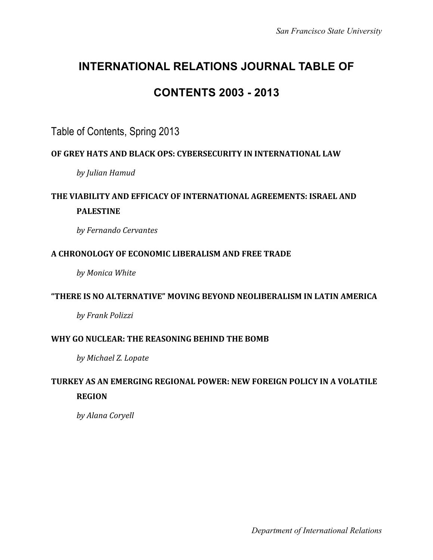# **INTERNATIONAL RELATIONS JOURNAL TABLE OF**

# **CONTENTS 2003 - 2013**

### Table of Contents, Spring 2013

#### **OF#GREY#HATS#AND#BLACK#OPS:#CYBERSECURITY#IN#INTERNATIONAL LAW**

*by#Julian#Hamud*

# **THE VIABILITY AND EFFICACY OF INTERNATIONAL AGREEMENTS: ISRAEL AND PALESTINE**

*by#Fernando#Cervantes*

#### A CHRONOLOGY OF ECONOMIC LIBERALISM AND FREE TRADE

*by Monica White* 

#### **"THERE#IS#NO#ALTERNATIVE" MOVING#BEYOND#NEOLIBERALISM#IN#LATIN#AMERICA**

*by#Frank#Polizzi*

#### WHY GO NUCLEAR: THE REASONING BEHIND THE BOMB

by Michael Z. Lopate

### **TURKEY AS AN EMERGING REGIONAL POWER: NEW FOREIGN POLICY IN A VOLATILE REGION**

by Alana Coryell

*Department of International Relations*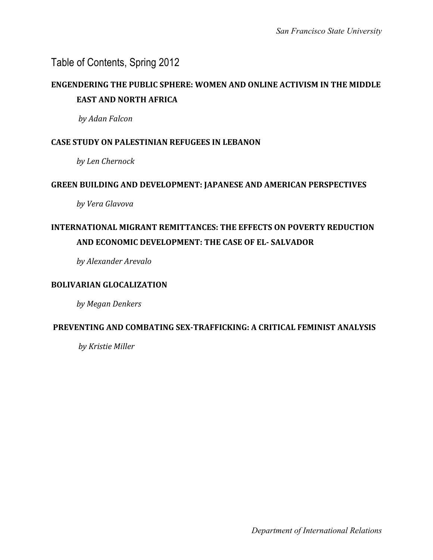### **ENGENDERING THE PUBLIC SPHERE: WOMEN AND ONLINE ACTIVISM IN THE MIDDLE EAST AND NORTH AFRICA**

*by#Adan#Falcon*

#### **CASE STUDY ON PALESTINIAN REFUGEES IN LEBANON**

*by#Len#Chernock*

#### **GREEN BUILDING AND DEVELOPMENT: JAPANESE AND AMERICAN PERSPECTIVES**

*by#Vera#Glavova*

# **INTERNATIONAL MIGRANT REMITTANCES: THE EFFECTS ON POVERTY REDUCTION AND ECONOMIC DEVELOPMENT: THE CASE OF EL- SALVADOR**

*by#Alexander#Arevalo*

#### **BOLIVARIAN GLOCALIZATION**

by Megan Denkers

#### **PREVENTING AND COMBATING SEX-TRAFFICKING: A CRITICAL FEMINIST ANALYSIS**

by Kristie Miller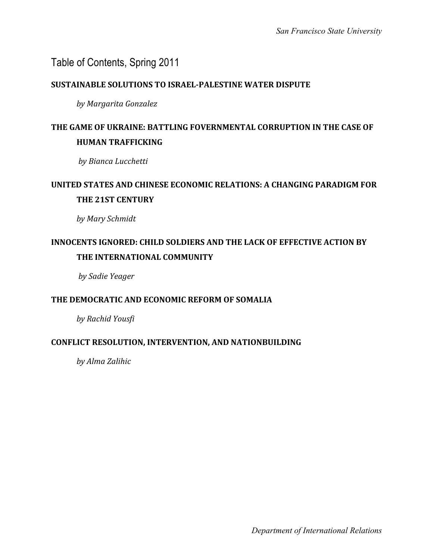#### **SUSTAINABLE SOLUTIONS TO ISRAEL-PALESTINE WATER DISPUTE**

*by#Margarita#Gonzalez*

# **THE GAME OF UKRAINE: BATTLING FOVERNMENTAL CORRUPTION IN THE CASE OF HUMAN TRAFFICKING**

*by#Bianca#Lucchetti*

## **UNITED STATES AND CHINESE ECONOMIC RELATIONS: A CHANGING PARADIGM FOR THE 21ST CENTURY**

by Mary Schmidt

# **INNOCENTS IGNORED: CHILD SOLDIERS AND THE LACK OF EFFECTIVE ACTION BY THE INTERNATIONAL COMMUNITY**

*by#Sadie#Yeager*

#### THE DEMOCRATIC AND ECONOMIC REFORM OF SOMALIA

*by#Rachid#Yousfi*

#### **CONFLICT#RESOLUTION, INTERVENTION, AND#NATIONBUILDING**

*by#Alma#Zalihic*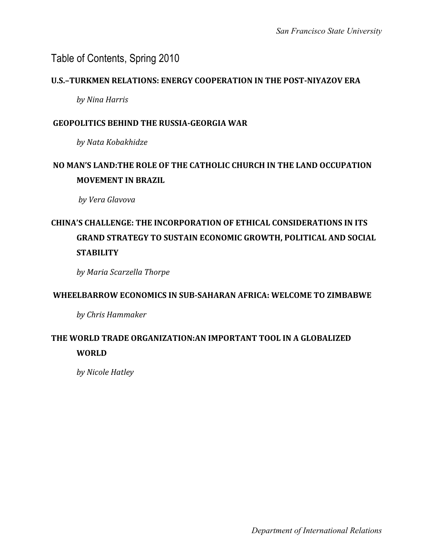#### **U.S.-TURKMEN RELATIONS: ENERGY COOPERATION IN THE POST-NIYAZOV ERA**

*by#Nina#Harris*

#### **GEOPOLITICS BEHIND THE RUSSIA-GEORGIA WAR**

*by#Nata#Kobakhidze*

# **NO MAN'S LAND: THE ROLE OF THE CATHOLIC CHURCH IN THE LAND OCCUPATION MOVEMENT IN BRAZIL**

*by#Vera#Glavova*

# **CHINA'S CHALLENGE: THE INCORPORATION OF ETHICAL CONSIDERATIONS IN ITS GRAND STRATEGY TO SUSTAIN ECONOMIC GROWTH, POLITICAL AND SOCIAL STABILITY**

*by#Maria#Scarzella#Thorpe*

#### **WHEELBARROW ECONOMICS IN SUB-SAHARAN AFRICA: WELCOME TO ZIMBABWE**

*by#Chris#Hammaker*

#### THE WORLD TRADE ORGANIZATION:AN IMPORTANT TOOL IN A GLOBALIZED **WORLD#**

by Nicole Hatley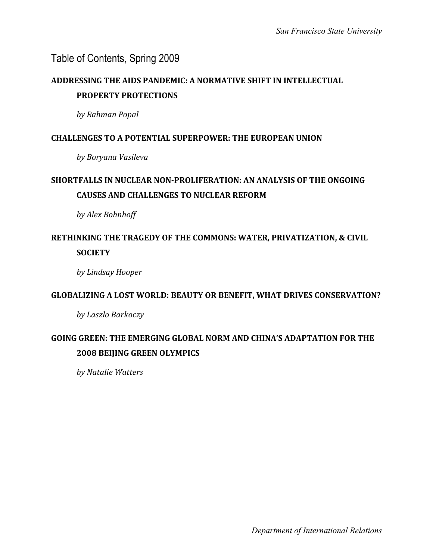## **ADDRESSING THE AIDS PANDEMIC: A NORMATIVE SHIFT IN INTELLECTUAL PROPERTY PROTECTIONS**

*by#Rahman#Popal*

#### **CHALLENGES TO A POTENTIAL SUPERPOWER: THE EUROPEAN UNION**

*by#Boryana#Vasileva*

# **SHORTFALLS IN NUCLEAR NON-PROLIFERATION: AN ANALYSIS OF THE ONGOING CAUSES AND CHALLENGES TO NUCLEAR REFORM**

*by#Alex#Bohnhoff*

### RETHINKING THE TRAGEDY OF THE COMMONS: WATER, PRIVATIZATION, & CIVIL **SOCIETY**

*by#Lindsay#Hooper*

#### **GLOBALIZING A LOST WORLD: BEAUTY OR BENEFIT, WHAT DRIVES CONSERVATION?**

*by#Laszlo#Barkoczy*

### GOING GREEN: THE EMERGING GLOBAL NORM AND CHINA'S ADAPTATION FOR THE **2008 BEIJING GREEN OLYMPICS**

*by#Natalie#Watters*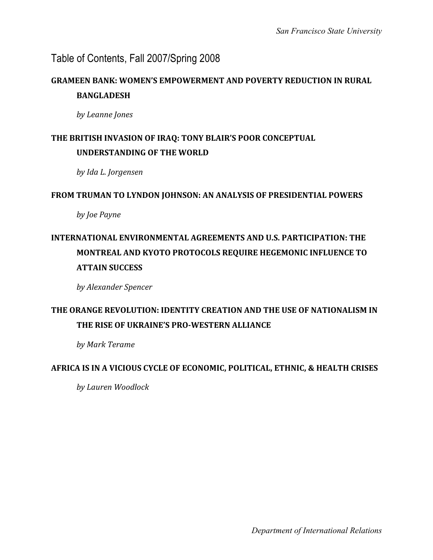### Table of Contents, Fall 2007/Spring 2008

### **GRAMEEN BANK: WOMEN'S EMPOWERMENT AND POVERTY REDUCTION IN RURAL BANGLADESH**

*by#Leanne#Jones*

#### THE BRITISH INVASION OF IRAQ: TONY BLAIR'S POOR CONCEPTUAL **UNDERSTANDING OF THE WORLD**

*by#Ida#L.#Jorgensen*

#### FROM TRUMAN TO LYNDON JOHNSON: AN ANALYSIS OF PRESIDENTIAL POWERS

*by Joe Payne* 

# **INTERNATIONAL ENVIRONMENTAL AGREEMENTS AND U.S. PARTICIPATION: THE MONTREAL AND KYOTO PROTOCOLS REQUIRE HEGEMONIC INFLUENCE TO ATTAIN SUCCESS**

*by#Alexander#Spencer*

### **THE ORANGE REVOLUTION: IDENTITY CREATION AND THE USE OF NATIONALISM IN THE#RISE#OF#UKRAINE'S PRO<WESTERN#ALLIANCE**

by Mark Terame

#### **AFRICA IS IN A VICIOUS CYCLE OF ECONOMIC, POLITICAL, ETHNIC, & HEALTH CRISES**

*by#Lauren#Woodlock*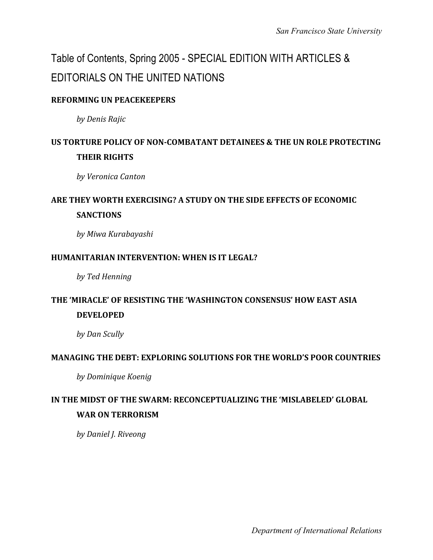# Table of Contents, Spring 2005 - SPECIAL EDITION WITH ARTICLES & EDITORIALS ON THE UNITED NATIONS

#### **REFORMING UN PEACEKEEPERS**

*by#Denis#Rajic*

# **US TORTURE POLICY OF NON-COMBATANT DETAINEES & THE UN ROLE PROTECTING THEIR RIGHTS**

*by#Veronica#Canton*

# **ARE THEY WORTH EXERCISING? A STUDY ON THE SIDE EFFECTS OF ECONOMIC SANCTIONS**

*by#Miwa#Kurabayashi*

#### **HUMANITARIAN INTERVENTION: WHEN IS IT LEGAL?**

by Ted Henning

#### THE 'MIRACLE' OF RESISTING THE 'WASHINGTON CONSENSUS' HOW EAST ASIA **DEVELOPED**

by Dan Scully

#### **MANAGING#THE#DEBT: EXPLORING#SOLUTIONS#FOR#THE#WORLD'S#POOR COUNTRIES**

*by#Dominique#Koenig*

# IN THE MIDST OF THE SWARM: RECONCEPTUALIZING THE 'MISLABELED' GLOBAL **WAR ON TERRORISM**

*by Daniel J. Riveong* 

*Department of International Relations*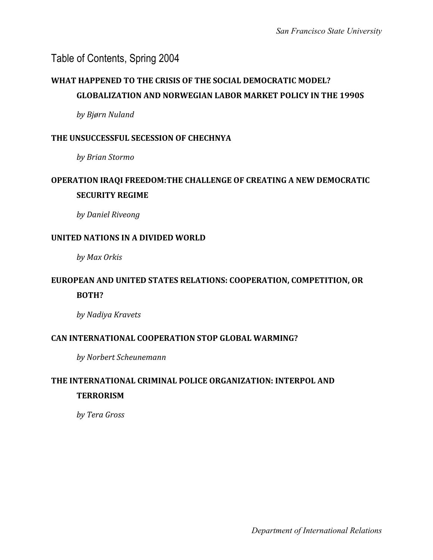# **WHAT HAPPENED TO THE CRISIS OF THE SOCIAL DEMOCRATIC MODEL? GLOBALIZATION AND NORWEGIAN LABOR MARKET POLICY IN THE 1990S**

*by#Bjørn#Nuland*

#### **THE UNSUCCESSFUL SECESSION OF CHECHNYA**

*by#Brian#Stormo*

### **OPERATION IRAQI FREEDOM: THE CHALLENGE OF CREATING A NEW DEMOCRATIC SECURITY REGIME**

*by#Daniel#Riveong*

#### **UNITED NATIONS IN A DIVIDED WORLD**

*by#Max#Orkis*

#### **EUROPEAN AND UNITED STATES RELATIONS: COOPERATION, COMPETITION, OR BOTH?**

*by#Nadiya#Kravets*

#### **CAN INTERNATIONAL COOPERATION STOP GLOBAL WARMING?**

*by#Norbert#Scheunemann*

#### **THE INTERNATIONAL CRIMINAL POLICE ORGANIZATION: INTERPOL AND TERRORISM**

*by#Tera#Gross*

*Department of International Relations*